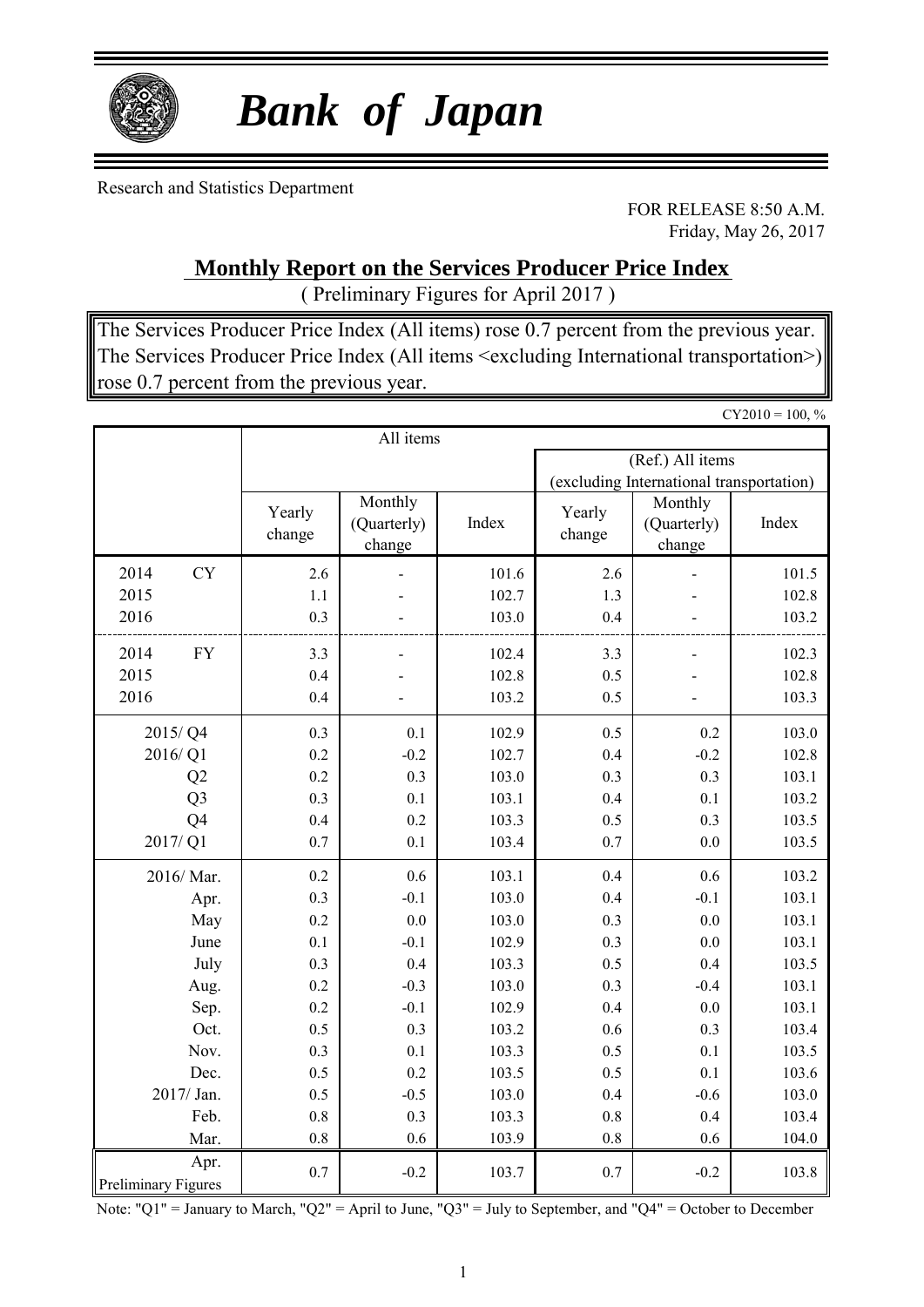

# *Bank of Japan*

Research and Statistics Department

FOR RELEASE 8:50 A.M. Friday, May 26, 2017

### **Monthly Report on the Services Producer Price Index**

( Preliminary Figures for April 2017 )

The Services Producer Price Index (All items) rose 0.7 percent from the previous year. The Services Producer Price Index (All items <excluding International transportation>) rose 0.7 percent from the previous year.

 $CY2010 = 100, %$ All items (Ref.) All items (excluding International transportation) 2014 CY 2.6 - 101.6 2.6 - 101.5 2015 1.1 - 102.7 1.3 - 102.8 Index Yearly change Monthly (Quarterly) change Index Yearly change Monthly (Quarterly) change

| 2016                                                        | 0.3                                        |                                           | 103.0                                              | 0.4                                    |                                           | 103.2                                              |
|-------------------------------------------------------------|--------------------------------------------|-------------------------------------------|----------------------------------------------------|----------------------------------------|-------------------------------------------|----------------------------------------------------|
| ${\rm FY}$<br>2014<br>2015<br>2016                          | 3.3<br>0.4<br>0.4                          |                                           | 102.4<br>102.8<br>103.2                            | 3.3<br>0.5<br>$0.5\,$                  |                                           | 102.3<br>102.8<br>103.3                            |
| 2015/Q4<br>2016/Q1<br>Q2<br>Q <sub>3</sub><br>Q4<br>2017/Q1 | 0.3<br>0.2<br>$0.2\,$<br>0.3<br>0.4<br>0.7 | 0.1<br>$-0.2$<br>0.3<br>0.1<br>0.2<br>0.1 | 102.9<br>102.7<br>103.0<br>103.1<br>103.3<br>103.4 | 0.5<br>0.4<br>0.3<br>0.4<br>0.5<br>0.7 | 0.2<br>$-0.2$<br>0.3<br>0.1<br>0.3<br>0.0 | 103.0<br>102.8<br>103.1<br>103.2<br>103.5<br>103.5 |
| 2016/Mar.<br>Apr.<br>May<br>June                            | 0.2<br>0.3<br>0.2<br>0.1<br>0.3            | 0.6<br>$-0.1$<br>$0.0\,$<br>$-0.1$<br>0.4 | 103.1<br>103.0<br>103.0<br>102.9<br>103.3          | 0.4<br>0.4<br>0.3<br>0.3<br>0.5        | 0.6<br>$-0.1$<br>0.0<br>0.0<br>0.4        | 103.2<br>103.1<br>103.1<br>103.1<br>103.5          |
| July<br>Aug.<br>Sep.<br>Oct.<br>Nov.<br>Dec.                | 0.2<br>0.2<br>0.5<br>0.3<br>0.5            | $-0.3$<br>$-0.1$<br>0.3<br>0.1<br>$0.2\,$ | 103.0<br>102.9<br>103.2<br>103.3<br>103.5          | 0.3<br>0.4<br>0.6<br>0.5<br>0.5        | $-0.4$<br>0.0<br>0.3<br>0.1<br>0.1        | 103.1<br>103.1<br>103.4<br>103.5<br>103.6          |
| 2017/ Jan.<br>Feb.<br>Mar.<br>Apr.                          | 0.5<br>$0.8\,$<br>$0.8\,$                  | $-0.5$<br>0.3<br>0.6                      | 103.0<br>103.3<br>103.9                            | 0.4<br>0.8<br>0.8                      | $-0.6$<br>0.4<br>0.6                      | 103.0<br>103.4<br>104.0                            |
| <b>Preliminary Figures</b>                                  | $0.7\,$                                    | $-0.2$                                    | 103.7                                              | 0.7                                    | $-0.2$                                    | 103.8                                              |

Note: "Q1" = January to March, "Q2" = April to June, "Q3" = July to September, and "Q4" = October to December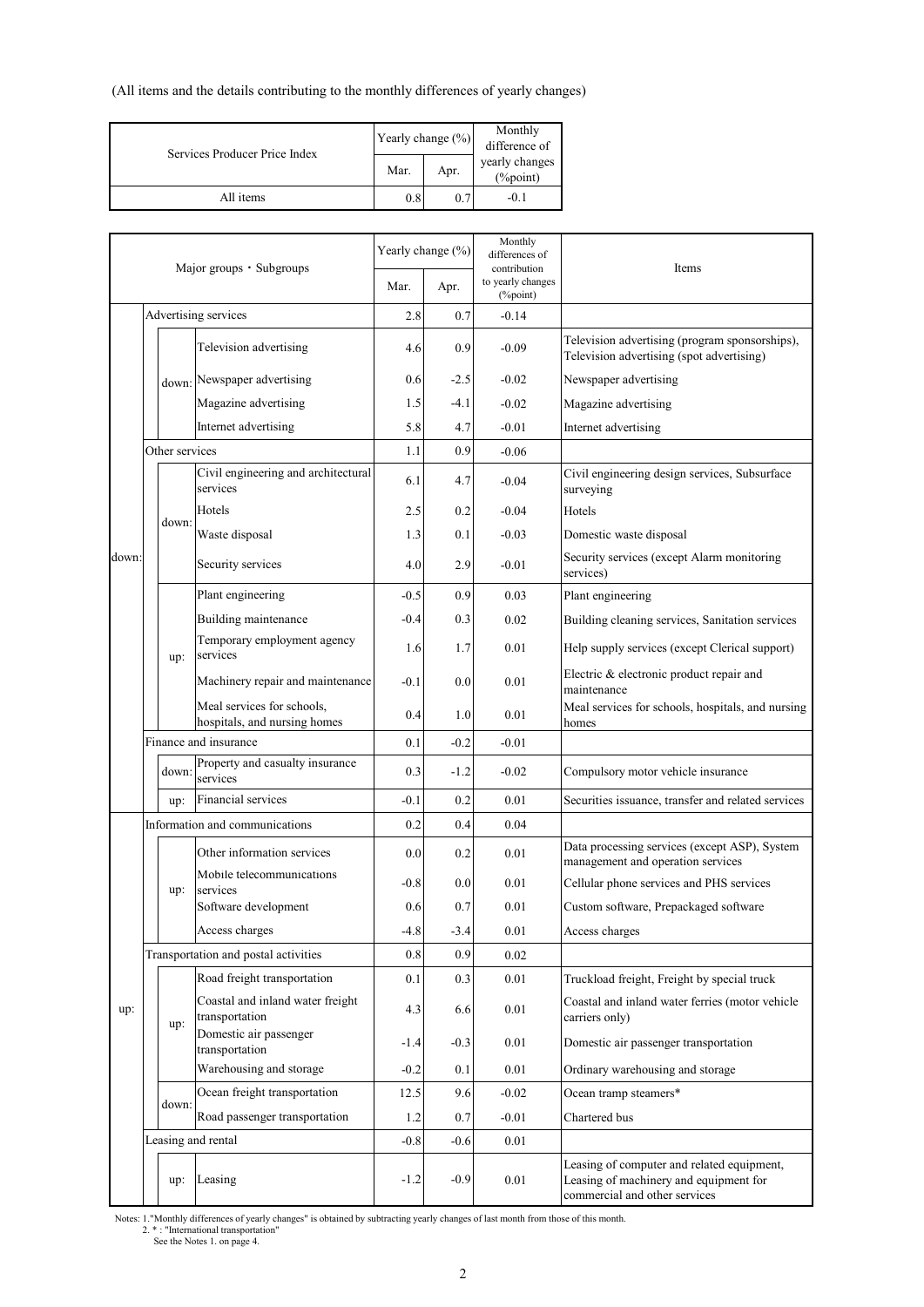(All items and the details contributing to the monthly differences of yearly changes)

| Services Producer Price Index | Yearly change $(\%)$ |                            | Monthly<br>difference of |  |  |
|-------------------------------|----------------------|----------------------------|--------------------------|--|--|
|                               | Mar.                 | yearly changes<br>(%point) |                          |  |  |
| All items                     | 0.8                  | 0.7                        | $-0.1$                   |  |  |

| Major groups • Subgroups |  | Yearly change (%) |                                                            | Monthly<br>differences of<br>contribution | Items  |                               |                                                                                                                       |
|--------------------------|--|-------------------|------------------------------------------------------------|-------------------------------------------|--------|-------------------------------|-----------------------------------------------------------------------------------------------------------------------|
|                          |  |                   |                                                            | Mar.                                      | Apr.   | to yearly changes<br>(%point) |                                                                                                                       |
|                          |  |                   | Advertising services                                       | 2.8                                       | 0.7    | $-0.14$                       |                                                                                                                       |
|                          |  |                   | Television advertising                                     | 4.6                                       | 0.9    | $-0.09$                       | Television advertising (program sponsorships),<br>Television advertising (spot advertising)                           |
|                          |  | down:             | Newspaper advertising                                      | 0.6                                       | $-2.5$ | $-0.02$                       | Newspaper advertising                                                                                                 |
|                          |  |                   | Magazine advertising                                       | 1.5                                       | -4.1   | $-0.02$                       | Magazine advertising                                                                                                  |
|                          |  |                   | Internet advertising                                       | 5.8                                       | 4.7    | $-0.01$                       | Internet advertising                                                                                                  |
|                          |  | Other services    |                                                            | 1.1                                       | 0.9    | $-0.06$                       |                                                                                                                       |
|                          |  |                   | Civil engineering and architectural<br>services            | 6.1                                       | 4.7    | $-0.04$                       | Civil engineering design services, Subsurface<br>surveying                                                            |
|                          |  |                   | Hotels                                                     | 2.5                                       | 0.2    | $-0.04$                       | Hotels                                                                                                                |
|                          |  | down:             | Waste disposal                                             | 1.3                                       | 0.1    | $-0.03$                       | Domestic waste disposal                                                                                               |
| down                     |  |                   | Security services                                          | 4.0                                       | 2.9    | $-0.01$                       | Security services (except Alarm monitoring<br>services)                                                               |
|                          |  |                   | Plant engineering                                          | $-0.5$                                    | 0.9    | 0.03                          | Plant engineering                                                                                                     |
|                          |  |                   | Building maintenance                                       | $-0.4$                                    | 0.3    | 0.02                          | Building cleaning services, Sanitation services                                                                       |
|                          |  | up:               | Temporary employment agency<br>services                    | 1.6                                       | 1.7    | 0.01                          | Help supply services (except Clerical support)                                                                        |
|                          |  |                   | Machinery repair and maintenance                           | $-0.1$                                    | 0.0    | 0.01                          | Electric & electronic product repair and<br>maintenance                                                               |
|                          |  |                   | Meal services for schools,<br>hospitals, and nursing homes | 0.4                                       | 1.0    | 0.01                          | Meal services for schools, hospitals, and nursing<br>homes                                                            |
|                          |  |                   | Finance and insurance                                      | 0.1                                       | $-0.2$ | $-0.01$                       |                                                                                                                       |
|                          |  | down:             | Property and casualty insurance<br>services                | 0.3                                       | $-1.2$ | $-0.02$                       | Compulsory motor vehicle insurance                                                                                    |
|                          |  | up:               | Financial services                                         | $-0.1$                                    | 0.2    | 0.01                          | Securities issuance, transfer and related services                                                                    |
|                          |  |                   | Information and communications                             | 0.2                                       | 0.4    | 0.04                          |                                                                                                                       |
|                          |  |                   | Other information services                                 | 0.0                                       | 0.2    | 0.01                          | Data processing services (except ASP), System<br>management and operation services                                    |
|                          |  | up:               | Mobile telecommunications<br>services                      | $-0.8$                                    | 0.0    | 0.01                          | Cellular phone services and PHS services                                                                              |
|                          |  |                   | Software development                                       | 0.6                                       | 0.7    | 0.01                          | Custom software, Prepackaged software                                                                                 |
|                          |  |                   | Access charges                                             | $-4.8$                                    | $-3.4$ | 0.01                          | Access charges                                                                                                        |
|                          |  |                   | Transportation and postal activities                       | 0.8                                       | 0.9    | 0.02                          |                                                                                                                       |
|                          |  |                   | Road freight transportation                                | 0.1                                       | 0.3    | $0.01\,$                      | Truckload freight, Freight by special truck                                                                           |
| up:                      |  | up:               | Coastal and inland water freight<br>transportation         | 4.3                                       | 6.6    | 0.01                          | Coastal and inland water ferries (motor vehicle<br>carriers only)                                                     |
|                          |  |                   | Domestic air passenger<br>transportation                   | -1.4                                      | $-0.3$ | 0.01                          | Domestic air passenger transportation                                                                                 |
|                          |  |                   | Warehousing and storage                                    | $-0.2$                                    | 0.1    | 0.01                          | Ordinary warehousing and storage                                                                                      |
|                          |  | down:             | Ocean freight transportation                               | 12.5                                      | 9.6    | $-0.02$                       | Ocean tramp steamers*                                                                                                 |
|                          |  |                   | Road passenger transportation                              | 1.2                                       | 0.7    | $-0.01$                       | Chartered bus                                                                                                         |
|                          |  |                   | Leasing and rental                                         | $-0.8$                                    | $-0.6$ | 0.01                          |                                                                                                                       |
|                          |  | up:               | Leasing                                                    | $-1.2$                                    | $-0.9$ | 0.01                          | Leasing of computer and related equipment,<br>Leasing of machinery and equipment for<br>commercial and other services |

Notes: 1."Monthly differences of yearly changes" is obtained by subtracting yearly changes of last month from those of this month.<br>2. \* : "International transportation"<br>See the Notes 1. on page 4.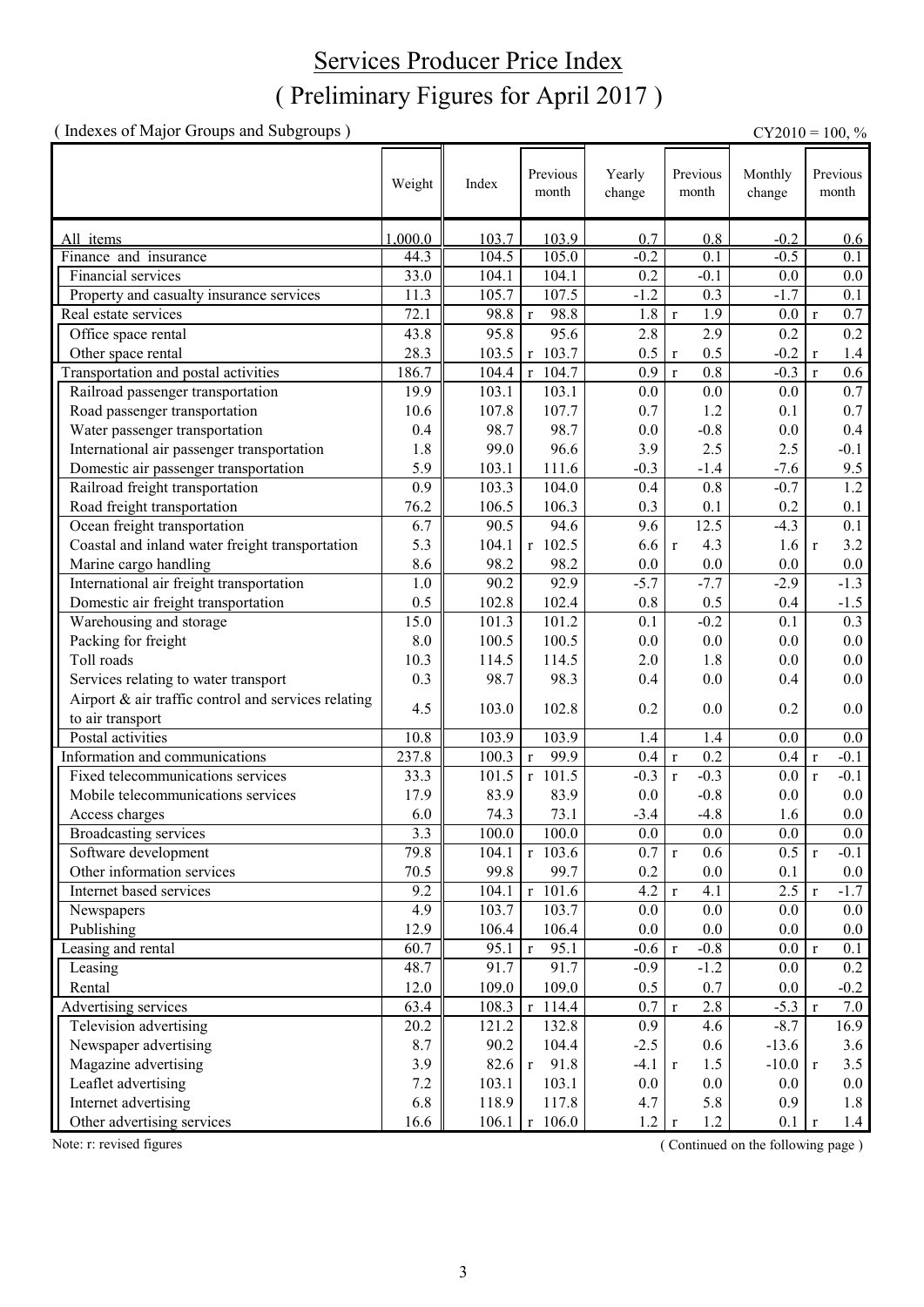### ( Preliminary Figures for April 2017 ) Services Producer Price Index

( Indexes of Major Groups and Subgroups ) CY2010 = 100, %

Weight Index Previous Yearly change Monthly change All items 1,000.0 | 103.7 | 103.9 | 0.8 | -0.2 | 0.6 Finance and insurance 44.3 104.5 105.0 -0.2 0.1 -0.5 0.1 Financial services 33.0 104.1 104.1 0.2 -0.1 0.0 0.0 Property and casualty insurance services  $11.3$   $105.7$   $107.5$   $-1.2$   $0.3$   $-1.7$  0.1 Real estate services 72.1 98.8 r 98.8 1.8 r 1.9 0.0 r 0.7 Office space rental  $\begin{array}{|c|c|c|c|c|c|c|c|c|c|c|} \hline \end{array}$  43.8 95.8 95.6 2.8 2.9 0.2 Other space rental 28.3 || 28.3 || 103.5 r 103.7 || 0.5 r 0.5 -0.2 r 1.4 Transportation and postal activities 186.7 104.4 r 104.7 0.9 r 0.8 -0.3 r 0.6 Railroad passenger transportation 19.9 103.1 103.1 0.0 0.0 0.0 0.7 Road passenger transportation 10.6 107.8 107.7 0.7 1.2 0.1 0.7 0.7 1.2 Water passenger transportation 0.4 98.7 98.7 0.0 -0.8 0.0 0.4 International air passenger transportation 1.8 99.0 96.6 3.9 2.5 2.5 -0.1 **Domestic air passenger transportation** 5.9 103.1 111.6 -0.3 -1.4 -7.6 9.5<br>
Railroad freight transportation 0.9 103.3 104.0 0.4 0.8 -0.7 1.2 Railroad freight transportation 0.9 103.3 104.0 0.4 0.8 -0.7 1.2 Provide Freight transportation 196.2 106.5 106.3 0.3 0.1 0.2 0.1 0.4 0.2 0.1 0.4 0.4 0.5 106.5 106.5 106.5 106.3 0.1 0.2 0.1 0.4 0.1 0.4 0.7 106.5 107 0.5 12.5 4.3 0.1 Ocean freight transportation 6.7 90.5 94.6 9.6 12.5 -4.3 0.1 Coastal and inland water freight transportation  $\begin{vmatrix} 5.3 & 104.1 & r & 102.5 & 6.6 & r & 4.3 \end{vmatrix}$  1.6 r 3.2 Marine cargo handling  $\begin{array}{|c|c|c|c|c|c|c|c|c|} \hline 8.6 & 98.2 & 98.2 & 0.0 & 0.0 & 0.0 & 0.0 \hline \end{array}$ International air freight transportation  $1.0 \parallel 90.2 \parallel 92.9 \parallel -5.7 \parallel -7.7 \parallel -2.9 \parallel -1.3$ Domestic air freight transportation  $0.5 \parallel 102.8 \parallel 102.4 \parallel 0.8 \parallel 0.5 \parallel 0.4 \parallel -1.5$ Warehousing and storage  $15.0$   $101.3$   $101.2$   $0.1$   $-0.2$   $0.1$   $0.3$ Packing for freight  $8.0 \parallel 100.5 \parallel 100.5 \parallel 0.0 \parallel 0.0 \parallel 0.0 \parallel 0.0 \parallel 0.0$ Toll roads  $10.3 \parallel 114.5 \parallel 114.5 \parallel 2.0 \parallel 1.8 \parallel 0.0 \parallel 0.0$ Services relating to water transport 0.3 98.7 98.3 0.4 0.0 0.4 0.0 Airport & air traffic control and services relating to air transport to air transport  $\begin{bmatrix} 4.5 & 103.0 & 102.8 & 0.2 & 0.0 \\ 0.0 & 0 & 0.2 & 0.0 & 0.2 \\ 0.0 & 0 & 0.2 & 0.0 & 0.2 \\ 0.0 & 0 & 0.2 & 0.0 & 0.2 \\ 0.0 & 0 & 0.2 & 0.0 & 0.2 \\ 0.0 & 0 & 0.2 & 0.0 & 0.2 \\ 0.0 & 0 & 0 & 0.2 & 0.0 \\ 0.0 & 0 & 0 & 0 &$ Postal activities 10.8 103.9 103.9 1.4 1.4 0.0 0.0 Information and communications 237.8 100.3 r 99.9 0.4 r 0.2 0.4 r -0.1 Fixed telecommunications services 33.3 101.5 r 101.5 -0.3 r -0.3 0.0 r -0.1 Mobile telecommunications services 17.9 83.9 83.9 0.0 -0.8 0.0 0.0 Access charges 6.0 74.3 73.1 -3.4 -4.8 1.6 0.0 Broadcasting services 3.3 100.0 100.0 0.0 0.0 0.0 0.0 Software development 19.8 || 104.1 | r 103.6 | 0.7 | r 0.6 | 0.5 | r -0.1 Other information services 70.5 99.8 99.7 0.2 0.0 0.1 0.0<br>
Internet based services 9.2 104.1 r 101.6 4.2 r 4.1 2.5 r -1.7 Internet based services 9.2 104.1 r 101.6 4.2 r 4.1 2.5 r -1.7 Newspapers 4.9 103.7 103.7 0.0 0.0 0.0 0.0 Publishing 12.9 106.4 106.4 0.0 0.0 0.0 0.0 Leasing and rental 60.7 95.1 r 95.1 -0.6 r -0.8 0.0 r 0.1 Leasing 1.1 1.2 | 1.2 | 1.2 | 1.2 | 1.2 | 1.2 | 1.2 | 1.2 | 1.2 | 1.2 | 1.2 | 1.2 | 1.2 | 1.2 | 1.2 | 1.2 | 1.2 | 1.2 | 1.2 | 1.2 | 1.2 | 1.2 | 1.2 | 1.2 | 1.2 | 1.2 | 1.2 | 1.2 | 1.2 | 1.2 | 1.2 | 1.2 | 1.2 | 1.2 | 1.2 | Rental 12.0 109.0 109.0 0.5 0.7 0.0 -0.2 Advertising services 63.4  $\parallel$  108.3 r 114.4 0.7 r 2.8 -5.3 r 7.0 Television advertising 20.2 121.2 132.8 0.9 4.6 -8.7 16.9 Newspaper advertising  $8.7 \parallel 90.2 \parallel 104.4 \parallel -2.5 \parallel 0.6 \parallel -13.6 \parallel 3.6$ Magazine advertising  $\begin{array}{|c|c|c|c|c|c|c|c|c|c|c|} \hline \end{array}$  3.9 82.6 r 91.8 -4.1 r 1.5 -10.0 r 3.5 Leaflet advertising 7.2 103.1 103.1 0.0 0.0 0.0 0.0 Internet advertising 1.8 10.9 | 1.8 | 1.8 | 1.8 | 1.8 | 1.8 | 1.8 | 1.8 | 1.8 | 1.8 | 1.8 | 1.8 | 1.8 | 1.8 | 1.8 | 1.8 | 1.8 | 1.8 | 1.8 | 1.8 | 1.8 | 1.8 | 1.8 | 1.8 | 1.8 | 1.8 | 1.8 | 1.8 | 1.8 | 1.8 | 1.8 | 1.8 | 1.8 Other advertising services 16.6 106.1 r 106.0 1.2 r 1.2 0.1 r 1.4 Previous month Previous month Previous month

Note: r: revised figures ( Continued on the following page ) ( Continued on the following page )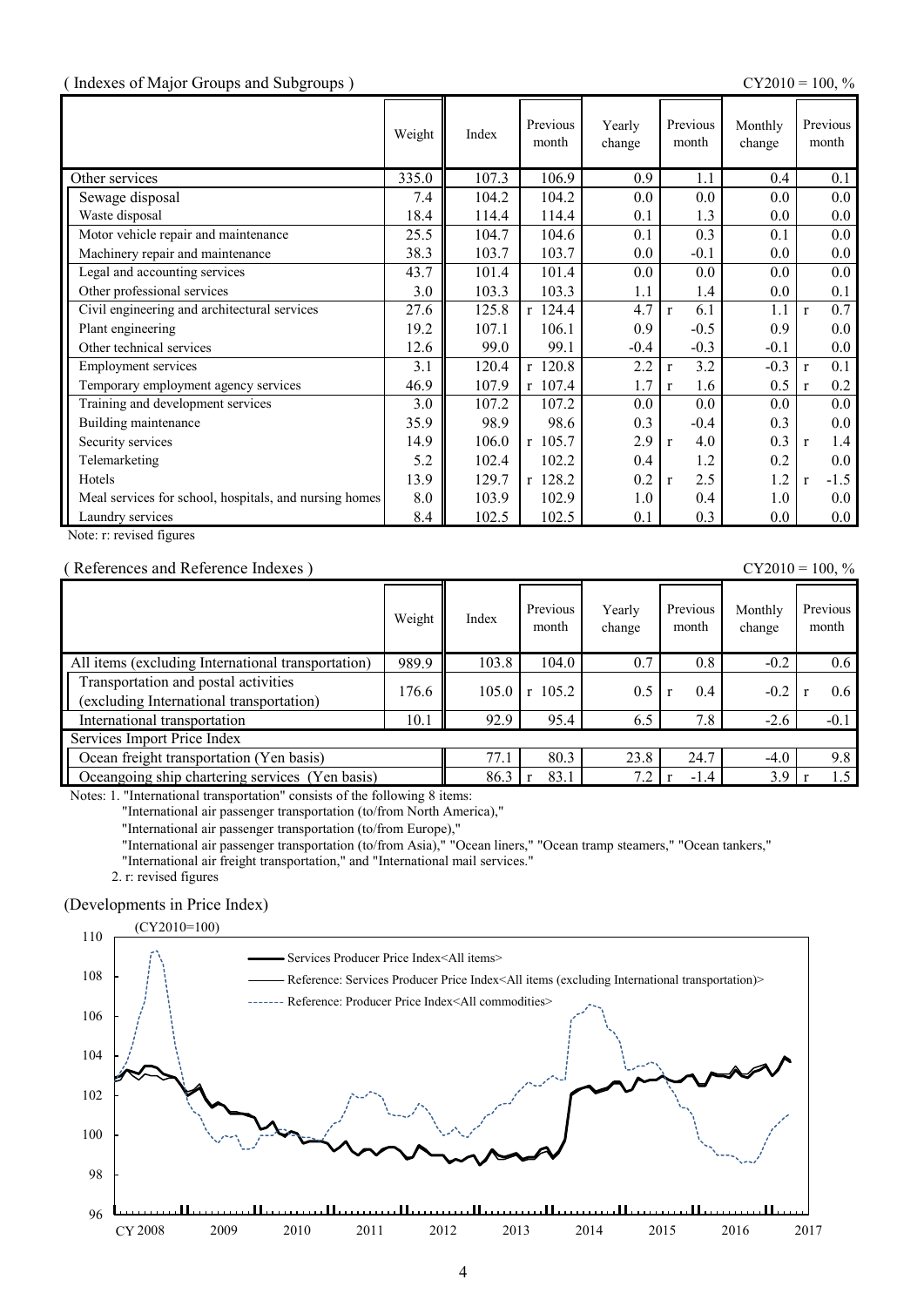#### ( Indexes of Major Groups and Subgroups ) CY2010 = 100, %

|                                                        | Weight | Index | Previous<br>month | Yearly<br>change | Previous<br>month   | Monthly<br>change | Previous<br>month      |
|--------------------------------------------------------|--------|-------|-------------------|------------------|---------------------|-------------------|------------------------|
| Other services                                         | 335.0  | 107.3 | 106.9             | 0.9              | 1.1                 | 0.4               | 0.1                    |
| Sewage disposal                                        | 7.4    | 104.2 | 104.2             | 0.0              | 0.0                 | 0.0               | 0.0                    |
| Waste disposal                                         | 18.4   | 114.4 | 114.4             | 0.1              | 1.3                 | $0.0\,$           | $0.0\,$                |
| Motor vehicle repair and maintenance                   | 25.5   | 104.7 | 104.6             | 0.1              | 0.3                 | 0.1               | 0.0                    |
| Machinery repair and maintenance                       | 38.3   | 103.7 | 103.7             | 0.0              | $-0.1$              | 0.0               | 0.0                    |
| Legal and accounting services                          | 43.7   | 101.4 | 101.4             | 0.0              | 0.0                 | 0.0               | 0.0                    |
| Other professional services                            | 3.0    | 103.3 | 103.3             | 1.1              | 1.4                 | 0.0               | 0.1                    |
| Civil engineering and architectural services           | 27.6   | 125.8 | $r$ 124.4         | 4.7              | 6.1<br>$\mathbf{r}$ | 1.1               | 0.7<br>$\mathbf{r}$    |
| Plant engineering                                      | 19.2   | 107.1 | 106.1             | 0.9              | $-0.5$              | 0.9               | 0.0                    |
| Other technical services                               | 12.6   | 99.0  | 99.1              | $-0.4$           | $-0.3$              | $-0.1$            | 0.0                    |
| <b>Employment services</b>                             | 3.1    | 120.4 | $r$ 120.8         | 2.2              | 3.2<br>r            | $-0.3$            | 0.1<br>$\mathbf{r}$    |
| Temporary employment agency services                   | 46.9   | 107.9 | r 107.4           | 1.7              | 1.6<br>$\mathbf{r}$ | 0.5               | 0.2<br>$\mathbf{r}$    |
| Training and development services                      | 3.0    | 107.2 | 107.2             | 0.0              | $0.0\,$             | 0.0               | 0.0                    |
| Building maintenance                                   | 35.9   | 98.9  | 98.6              | 0.3              | $-0.4$              | 0.3               | 0.0                    |
| Security services                                      | 14.9   | 106.0 | r 105.7           | 2.9              | 4.0<br>$\mathbf{r}$ | 0.3               | 1.4<br>$\mathbf{r}$    |
| Telemarketing                                          | 5.2    | 102.4 | 102.2             | 0.4              | 1.2                 | 0.2               | 0.0                    |
| Hotels                                                 | 13.9   | 129.7 | r 128.2           | 0.2              | 2.5<br>$\mathbf{r}$ | 1.2               | $-1.5$<br>$\mathbf{r}$ |
| Meal services for school, hospitals, and nursing homes | 8.0    | 103.9 | 102.9             | 1.0              | 0.4                 | 1.0               | $0.0\,$                |
| Laundry services                                       | 8.4    | 102.5 | 102.5             | 0.1              | 0.3                 | $0.0\,$           | $0.0\,$                |

Note: r: revised figures

#### ( References and Reference Indexes )  $CY2010 = 100, \%$

|                                                                                  | Weight | Index | Previous<br>month | Yearly<br>change | Previous<br>month | Monthly<br>change | Previous<br>month |
|----------------------------------------------------------------------------------|--------|-------|-------------------|------------------|-------------------|-------------------|-------------------|
| All items (excluding International transportation)                               | 989.9  | 103.8 | 104.0             | 0.7              | 0.8               | $-0.2$            | 0.6               |
| Transportation and postal activities<br>(excluding International transportation) | 176.6  | 105.0 | 105.2<br>r        | 0.5              | 0.4               | $-0.2$            | $0.6^{\circ}$     |
| International transportation                                                     | 10.1   | 92.9  | 95.4              | 6.5              | 7.8               | $-2.6$            | $-0.1$            |
| Services Import Price Index                                                      |        |       |                   |                  |                   |                   |                   |
| Ocean freight transportation (Yen basis)                                         |        | 77.1  | 80.3              | 23.8             | 24.7              | $-4.0$            | 9.8               |
| Cocangoing ship chartering services (Yen basis)                                  |        | 86.3  | 83.1              | 7.2              | $-1.4$            | 3.9               | 1.5               |

Notes: 1. "International transportation" consists of the following 8 items:

"International air passenger transportation (to/from North America),"

"International air passenger transportation (to/from Europe),"

"International air passenger transportation (to/from Asia)," "Ocean liners," "Ocean tramp steamers," "Ocean tankers,"

"International air freight transportation," and "International mail services."

2. r: revised figures

#### (Developments in Price Index)